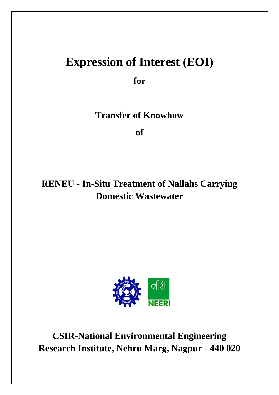# **Expression of Interest (EOI)**

**for**

**Transfer of Knowhow**

**of**

# **RENEU - In-Situ Treatment of Nallahs Carrying Domestic Wastewater**



**CSIR-National Environmental Engineering Research Institute, Nehru Marg, Nagpur - 440 020**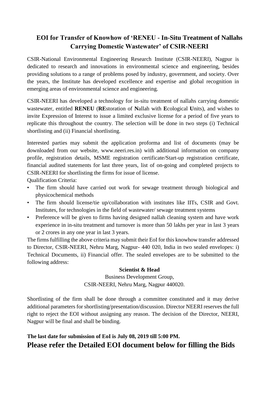# **EOI for Transfer of Knowhow of 'RENEU - In-Situ Treatment of Nallahs Carrying Domestic Wastewater' of CSIR-NEERI**

CSIR-National Environmental Engineering Research Institute (CSIR-NEERI), Nagpur is dedicated to research and innovations in environmental science and engineering, besides providing solutions to a range of problems posed by industry, government, and society. Over the years, the Institute has developed excellence and expertise and global recognition in emerging areas of environmental science and engineering.

CSIR-NEERI has developed a technology for in-situ treatment of nallahs carrying domestic wastewater, entitled **RENEU** (**RE**storation of **N**allah with **E**cological **U**nits), and wishes to invite Expression of Interest to issue a limited exclusive license for a period of five years to replicate this throughout the country. The selection will be done in two steps (i) Technical shortlisting and (ii) Financial shortlisting.

Interested parties may submit the application proforma and list of documents (may be downloaded from our website, www.neeri.res.in) with additional information on company profile, registration details, MSME registration certificate/Start-up registration certificate, financial audited statements for last three years, list of on-going and completed projects to CSIR-NEERI for shortlisting the firms for issue of license.

Qualification Criteria:

- The firm should have carried out work for sewage treatment through biological and physicochemical methods
- The firm should license/tie up/collaboration with institutes like IITs, CSIR and Govt. Institutes, for technologies in the field of wastewater/ sewage treatment systems
- Preference will be given to firms having designed nallah cleaning system and have work experience in in-situ treatment and turnover is more than 50 lakhs per year in last 3 years or 2 crores in any one year in last 3 years.

The firms fulfilling the above criteria may submit their EoI for this knowhow transfer addressed to Director, CSIR-NEERI, Nehru Marg, Nagpur- 440 020, India in two sealed envelopes: i) Technical Documents, ii) Financial offer. The sealed envelopes are to be submitted to the following address:

#### **Scientist & Head**

Business Development Group, CSIR-NEERI, Nehru Marg, Nagpur 440020.

Shortlisting of the firm shall be done through a committee constituted and it may derive additional parameters for shortlisting/presentation/discussion. Director NEERI reserves the full right to reject the EOI without assigning any reason. The decision of the Director, NEERI, Nagpur will be final and shall be binding.

# **The last date for submission of EoI is July 08, 2019 till 5:00 PM. Please refer the Detailed EOI document below for filling the Bids**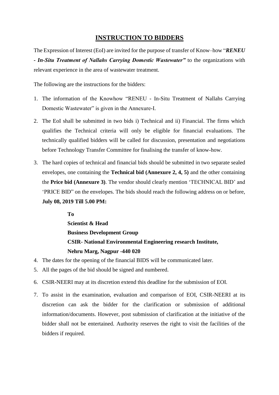## **INSTRUCTION TO BIDDERS**

The Expression of Interest (EoI) are invited for the purpose of transfer of Know–how "*RENEU - In-Situ Treatment of Nallahs Carrying Domestic Wastewater"* to the organizations with relevant experience in the area of wastewater treatment.

The following are the instructions for the bidders:

- 1. The information of the Knowhow "RENEU In-Situ Treatment of Nallahs Carrying Domestic Wastewater" is given in the Annexure-I.
- 2. The EoI shall be submitted in two bids i) Technical and ii) Financial. The firms which qualifies the Technical criteria will only be eligible for financial evaluations. The technically qualified bidders will be called for discussion, presentation and negotiations before Technology Transfer Committee for finalising the transfer of know-how.
- 3. The hard copies of technical and financial bids should be submitted in two separate sealed envelopes, one containing the **Technical bid (Annexure 2, 4, 5)** and the other containing the **Price bid (Annexure 3)**. The vendor should clearly mention 'TECHNICAL BID' and 'PRICE BID" on the envelopes. The bids should reach the following address on or before, **July 08, 2019 Till 5.00 PM:**

**To Scientist & Head Business Development Group CSIR- National Environmental Engineering research Institute, Nehru Marg, Nagpur -440 020** 

- 4. The dates for the opening of the financial BIDS will be communicated later.
- 5. All the pages of the bid should be signed and numbered.
- 6. CSIR-NEERI may at its discretion extend this deadline for the submission of EOI.
- 7. To assist in the examination, evaluation and comparison of EOI, CSIR-NEERI at its discretion can ask the bidder for the clarification or submission of additional information/documents. However, post submission of clarification at the initiative of the bidder shall not be entertained. Authority reserves the right to visit the facilities of the bidders if required.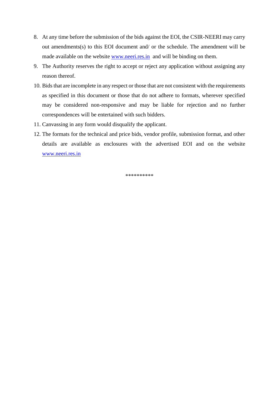- 8. At any time before the submission of the bids against the EOI, the CSIR-NEERI may carry out amendments(s) to this EOI document and/ or the schedule. The amendment will be made available on the website [www.neeri.res.in](http://www.neeri.res.in/) and will be binding on them.
- 9. The Authority reserves the right to accept or reject any application without assigning any reason thereof.
- 10. Bids that are incomplete in any respect or those that are not consistent with the requirements as specified in this document or those that do not adhere to formats, wherever specified may be considered non-responsive and may be liable for rejection and no further correspondences will be entertained with such bidders.
- 11. Canvassing in any form would disqualify the applicant.
- 12. The formats for the technical and price bids, vendor profile, submission format, and other details are available as enclosures with the advertised EOI and on the website [www.neeri.res.in](http://www.neeri.res.in/)

\*\*\*\*\*\*\*\*\*\*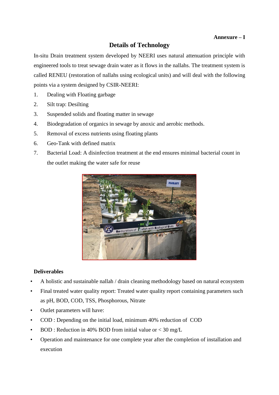#### **Annexure – I**

# **Details of Technology**

In-situ Drain treatment system developed by NEERI uses natural attenuation principle with engineered tools to treat sewage drain water as it flows in the nallahs. The treatment system is called RENEU (restoration of nallahs using ecological units) and will deal with the following points via a system designed by CSIR-NEERI:

- 1. Dealing with Floating garbage
- 2. Silt trap: Desilting
- 3. Suspended solids and floating matter in sewage
- 4. Biodegradation of organics in sewage by anoxic and aerobic methods.
- 5. Removal of excess nutrients using floating plants
- 6. Geo-Tank with defined matrix
- 7. Bacterial Load: A disinfection treatment at the end ensures minimal bacterial count in the outlet making the water safe for reuse



#### **Deliverables**

- A holistic and sustainable nallah / drain cleaning methodology based on natural ecosystem
- Final treated water quality report: Treated water quality report containing parameters such as pH, BOD, COD, TSS, Phosphorous, Nitrate
- Outlet parameters will have:
- COD : Depending on the initial load, minimum 40% reduction of COD
- $BOD$ : Reduction in 40% BOD from initial value or  $<$  30 mg/L
- Operation and maintenance for one complete year after the completion of installation and execution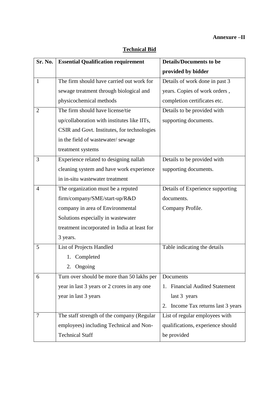#### **Annexure –II**

| Sr. No.        | <b>Essential Qualification requirement</b>   | <b>Details/Documents to be</b>           |  |  |
|----------------|----------------------------------------------|------------------------------------------|--|--|
|                |                                              | provided by bidder                       |  |  |
| $\mathbf{1}$   | The firm should have carried out work for    | Details of work done in past 3           |  |  |
|                | sewage treatment through biological and      | years. Copies of work orders,            |  |  |
|                | physicochemical methods                      | completion certificates etc.             |  |  |
| 2              | The firm should have license/tie             | Details to be provided with              |  |  |
|                | up/collaboration with institutes like IITs,  | supporting documents.                    |  |  |
|                | CSIR and Govt. Institutes, for technologies  |                                          |  |  |
|                | in the field of wastewater/sewage            |                                          |  |  |
|                | treatment systems                            |                                          |  |  |
| 3              | Experience related to designing nallah       | Details to be provided with              |  |  |
|                | cleaning system and have work experience     | supporting documents.                    |  |  |
|                | in in-situ wastewater treatment              |                                          |  |  |
| $\overline{4}$ | The organization must be a reputed           | Details of Experience supporting         |  |  |
|                | firm/company/SME/start-up/R&D                | documents.                               |  |  |
|                | company in area of Environmental             | Company Profile.                         |  |  |
|                | Solutions especially in wastewater           |                                          |  |  |
|                | treatment incorporated in India at least for |                                          |  |  |
|                | 3 years.                                     |                                          |  |  |
| 5              | List of Projects Handled                     | Table indicating the details             |  |  |
|                | 1. Completed                                 |                                          |  |  |
|                | 2. Ongoing                                   |                                          |  |  |
| 6              | Turn over should be more than 50 lakhs per   | Documents                                |  |  |
|                | year in last 3 years or 2 crores in any one  | <b>Financial Audited Statement</b><br>1. |  |  |
|                | year in last 3 years                         | last 3 years                             |  |  |
|                |                                              | Income Tax returns last 3 years<br>2.    |  |  |
| 7              | The staff strength of the company (Regular   | List of regular employees with           |  |  |
|                | employees) including Technical and Non-      | qualifications, experience should        |  |  |
|                | <b>Technical Staff</b>                       | be provided                              |  |  |

## **Technical Bid**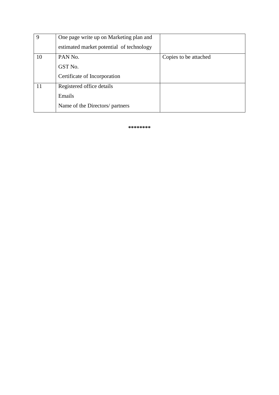| 9  | One page write up on Marketing plan and  |                       |
|----|------------------------------------------|-----------------------|
|    | estimated market potential of technology |                       |
| 10 | PAN No.                                  | Copies to be attached |
|    | GST No.                                  |                       |
|    | Certificate of Incorporation             |                       |
| 11 | Registered office details                |                       |
|    | Emails                                   |                       |
|    | Name of the Directors/ partners          |                       |

**\*\*\*\*\*\*\*\***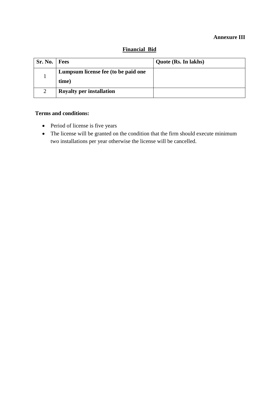#### **Annexure III**

| Sr. No. | <b>Fees</b>                         | Quote (Rs. In lakhs) |
|---------|-------------------------------------|----------------------|
|         | Lumpsum license fee (to be paid one |                      |
|         | time)                               |                      |
| 2       | <b>Royalty per installation</b>     |                      |

#### **Financial Bid**

# **Terms and conditions:**

- Period of license is five years
- The license will be granted on the condition that the firm should execute minimum two installations per year otherwise the license will be cancelled.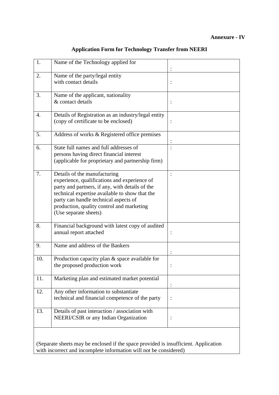#### **Annexure - IV**

| 1.  | Name of the Technology applied for                                                                                                                                                                                                                                                               |   |
|-----|--------------------------------------------------------------------------------------------------------------------------------------------------------------------------------------------------------------------------------------------------------------------------------------------------|---|
| 2.  | Name of the party/legal entity<br>with contact details                                                                                                                                                                                                                                           |   |
| 3.  | Name of the applicant, nationality<br>& contact details                                                                                                                                                                                                                                          |   |
| 4.  | Details of Registration as an industry/legal entity<br>(copy of certificate to be enclosed)                                                                                                                                                                                                      |   |
| 5.  | Address of works & Registered office premises                                                                                                                                                                                                                                                    |   |
| 6.  | State full names and full addresses of<br>persons having direct financial interest<br>(applicable for proprietary and partnership firm)                                                                                                                                                          |   |
| 7.  | Details of the manufacturing<br>experience, qualifications and experience of<br>party and partners, if any, with details of the<br>technical expertise available to show that the<br>party can handle technical aspects of<br>production, quality control and marketing<br>(Use separate sheets) |   |
| 8.  | Financial background with latest copy of audited<br>annual report attached                                                                                                                                                                                                                       |   |
| 9.  | Name and address of the Bankers                                                                                                                                                                                                                                                                  |   |
| 10. | Production capacity plan & space available for<br>the proposed production work                                                                                                                                                                                                                   |   |
| 11. | Marketing plan and estimated market potential                                                                                                                                                                                                                                                    |   |
| 12. | Any other information to substantiate<br>technical and financial competence of the party                                                                                                                                                                                                         | : |
| 13. | Details of past interaction / association with<br>NEERI/CSIR or any Indian Organization                                                                                                                                                                                                          |   |
|     |                                                                                                                                                                                                                                                                                                  |   |

#### **Application Form for Technology Transfer from NEERI**

(Separate sheets may be enclosed if the space provided is insufficient. Application with incorrect and incomplete information will not be considered)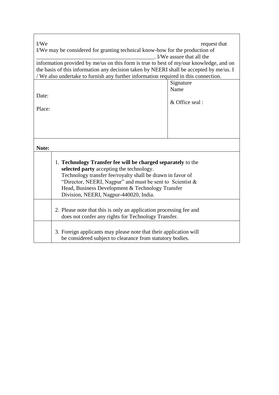| I/We<br>request that                                                                                                                                                           |                                                                                                                            |  |  |  |
|--------------------------------------------------------------------------------------------------------------------------------------------------------------------------------|----------------------------------------------------------------------------------------------------------------------------|--|--|--|
| I/We may be considered for granting technical know-how for the production of                                                                                                   |                                                                                                                            |  |  |  |
| . I/We assure that all the<br>information provided by me/us on this form is true to best of my/our knowledge, and on                                                           |                                                                                                                            |  |  |  |
|                                                                                                                                                                                |                                                                                                                            |  |  |  |
| the basis of this information any decision taken by NEERI shall be accepted by me/us. I<br>/ We also undertake to furnish any further information required in this connection. |                                                                                                                            |  |  |  |
|                                                                                                                                                                                | Signature                                                                                                                  |  |  |  |
|                                                                                                                                                                                | Name                                                                                                                       |  |  |  |
| Date:                                                                                                                                                                          |                                                                                                                            |  |  |  |
|                                                                                                                                                                                | & Office seal:                                                                                                             |  |  |  |
| Place:                                                                                                                                                                         |                                                                                                                            |  |  |  |
|                                                                                                                                                                                |                                                                                                                            |  |  |  |
|                                                                                                                                                                                |                                                                                                                            |  |  |  |
|                                                                                                                                                                                |                                                                                                                            |  |  |  |
|                                                                                                                                                                                |                                                                                                                            |  |  |  |
| Note:                                                                                                                                                                          |                                                                                                                            |  |  |  |
|                                                                                                                                                                                |                                                                                                                            |  |  |  |
| 1. Technology Transfer fee will be charged separately to the                                                                                                                   |                                                                                                                            |  |  |  |
|                                                                                                                                                                                | selected party accepting the technology.                                                                                   |  |  |  |
|                                                                                                                                                                                | Technology transfer fee/royalty shall be drawn in favor of<br>"Director, NEERI, Nagpur" and must be sent to Scientist $\&$ |  |  |  |
|                                                                                                                                                                                | Head, Business Development & Technology Transfer                                                                           |  |  |  |
| Division, NEERI, Nagpur-440020, India.                                                                                                                                         |                                                                                                                            |  |  |  |
|                                                                                                                                                                                |                                                                                                                            |  |  |  |
|                                                                                                                                                                                | 2. Please note that this is only an application processing fee and                                                         |  |  |  |
|                                                                                                                                                                                | does not confer any rights for Technology Transfer.                                                                        |  |  |  |
|                                                                                                                                                                                |                                                                                                                            |  |  |  |
|                                                                                                                                                                                | 3. Foreign applicants may please note that their application will                                                          |  |  |  |
|                                                                                                                                                                                | be considered subject to clearance from statutory bodies.                                                                  |  |  |  |